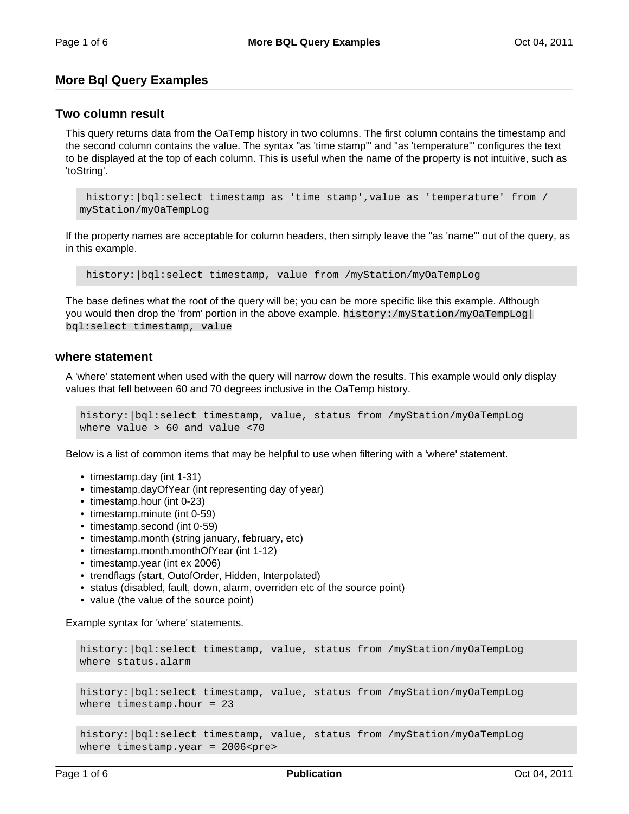# **More Bql Query Examples**

### **Two column result**

This query returns data from the OaTemp history in two columns. The first column contains the timestamp and the second column contains the value. The syntax "as 'time stamp'" and "as 'temperature'" configures the text to be displayed at the top of each column. This is useful when the name of the property is not intuitive, such as 'toString'.

```
history:|bql:select timestamp as 'time stamp',value as 'temperature' from /
myStation/myOaTempLog
```
If the property names are acceptable for column headers, then simply leave the "as 'name'" out of the query, as in this example.

history:|bql:select timestamp, value from /myStation/myOaTempLog

The base defines what the root of the query will be; you can be more specific like this example. Although you would then drop the 'from' portion in the above example. history:/myStation/myOaTempLog| bql:select timestamp, value

#### **where statement**

A 'where' statement when used with the query will narrow down the results. This example would only display values that fell between 60 and 70 degrees inclusive in the OaTemp history.

history:|bql:select timestamp, value, status from /myStation/myOaTempLog where value > 60 and value <70

Below is a list of common items that may be helpful to use when filtering with a 'where' statement.

- timestamp.day (int 1-31)
- timestamp.dayOfYear (int representing day of year)
- timestamp.hour (int 0-23)
- timestamp.minute (int 0-59)
- timestamp.second (int 0-59)
- timestamp.month (string january, february, etc)
- timestamp.month.monthOfYear (int 1-12)
- timestamp.year (int ex 2006)
- trendflags (start, OutofOrder, Hidden, Interpolated)
- status (disabled, fault, down, alarm, overriden etc of the source point)
- value (the value of the source point)

Example syntax for 'where' statements.

```
history:|bql:select timestamp, value, status from /myStation/myOaTempLog 
where status.alarm
```

```
history:|bql:select timestamp, value, status from /myStation/myOaTempLog
where timestamp.hour = 23
```
history:|bql:select timestamp, value, status from /myStation/myOaTempLog where timestamp.year =  $2006$  <pre>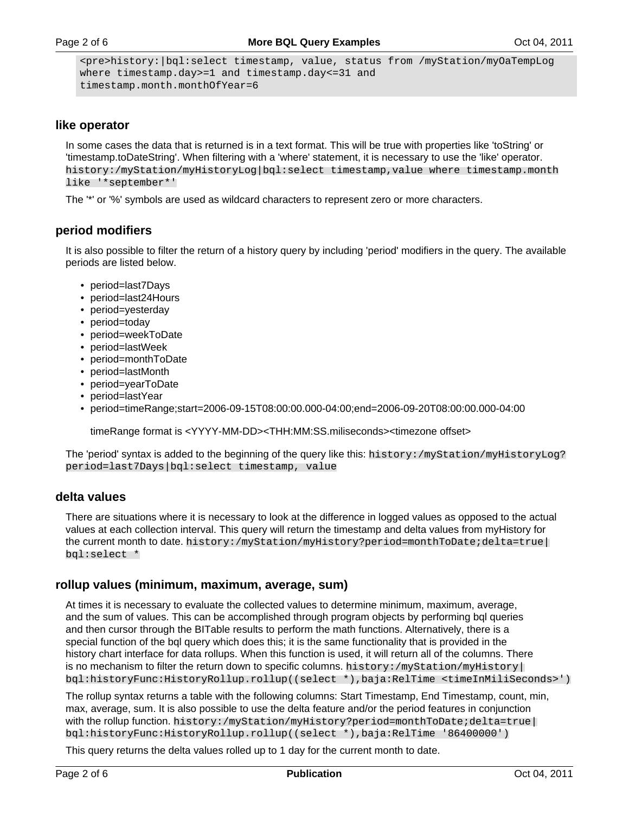```
<pre>history:|bql:select timestamp, value, status from /myStation/myOaTempLog
where timestamp.day>=1 and timestamp.day<=31 and
timestamp.month.monthOfYear=6
```
### **like operator**

In some cases the data that is returned is in a text format. This will be true with properties like 'toString' or 'timestamp.toDateString'. When filtering with a 'where' statement, it is necessary to use the 'like' operator. history:/myStation/myHistoryLog|bql:select timestamp,value where timestamp.month like '\*september\*'

The '\*' or '%' symbols are used as wildcard characters to represent zero or more characters.

# **period modifiers**

It is also possible to filter the return of a history query by including 'period' modifiers in the query. The available periods are listed below.

- period=last7Days
- period=last24Hours
- period=yesterday
- period=today
- period=weekToDate
- period=lastWeek
- period=monthToDate
- period=lastMonth
- period=yearToDate
- period=lastYear
- period=timeRange;start=2006-09-15T08:00:00.000-04:00;end=2006-09-20T08:00:00.000-04:00

timeRange format is <YYYY-MM-DD><THH:MM:SS.miliseconds><timezone offset>

The 'period' syntax is added to the beginning of the query like this: history:/myStation/myHistoryLog? period=last7Days|bql:select timestamp, value

#### **delta values**

There are situations where it is necessary to look at the difference in logged values as opposed to the actual values at each collection interval. This query will return the timestamp and delta values from myHistory for the current month to date. history:/myStation/myHistory?period=monthToDate;delta=true| bql:select \*

#### **rollup values (minimum, maximum, average, sum)**

At times it is necessary to evaluate the collected values to determine minimum, maximum, average, and the sum of values. This can be accomplished through program objects by performing bql queries and then cursor through the BITable results to perform the math functions. Alternatively, there is a special function of the bql query which does this; it is the same functionality that is provided in the history chart interface for data rollups. When this function is used, it will return all of the columns. There is no mechanism to filter the return down to specific columns. history:  $/myStation/myHistory$ bql:historyFunc:HistoryRollup.rollup((select \*),baja:RelTime <timeInMiliSeconds>')

The rollup syntax returns a table with the following columns: Start Timestamp, End Timestamp, count, min, max, average, sum. It is also possible to use the delta feature and/or the period features in conjunction with the rollup function. history:/myStation/myHistory?period=monthToDate;delta=true| bql:historyFunc:HistoryRollup.rollup((select \*),baja:RelTime '86400000')

This query returns the delta values rolled up to 1 day for the current month to date.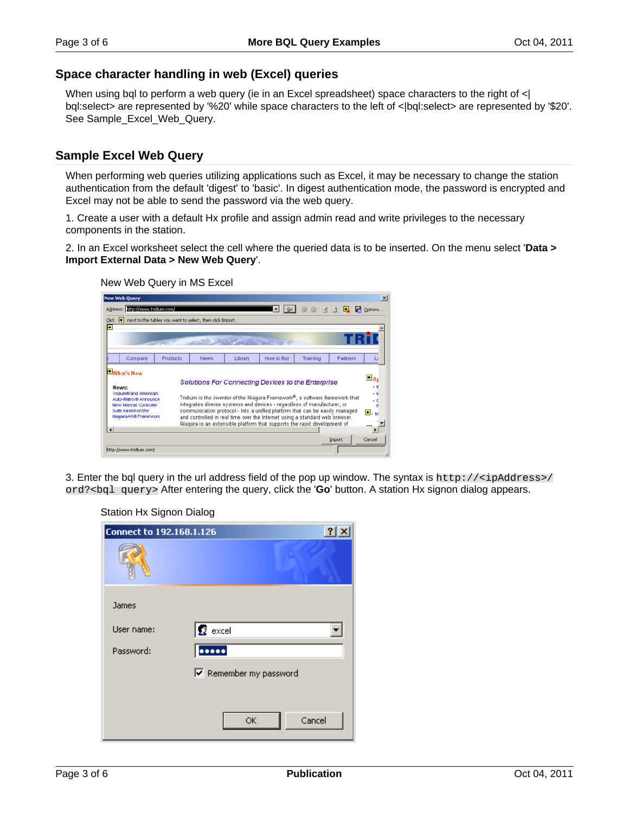# **Space character handling in web (Excel) queries**

When using bql to perform a web query (ie in an Excel spreadsheet) space characters to the right of  $\langle \cdot |$ bql:select> are represented by '%20' while space characters to the left of <|bql:select> are represented by '\$20'. See Sample\_Excel\_Web\_Query.

### **Sample Excel Web Query**

When performing web queries utilizing applications such as Excel, it may be necessary to change the station authentication from the default 'digest' to 'basic'. In digest authentication mode, the password is encrypted and Excel may not be able to send the password via the web query.

1. Create a user with a default Hx profile and assign admin read and write privileges to the necessary components in the station.

2. In an Excel worksheet select the cell where the queried data is to be inserted. On the menu select '**Data > Import External Data > New Web Query**'.

New Web Query in MS Excel

|                                 | <b>New Web Query</b>                                                                                                                  |                                                           |      |         |                                                                                                                                                                                                                                                                                                                                                                                                                                                                |          |          | $\vert x \vert$                                         |  |  |  |  |
|---------------------------------|---------------------------------------------------------------------------------------------------------------------------------------|-----------------------------------------------------------|------|---------|----------------------------------------------------------------------------------------------------------------------------------------------------------------------------------------------------------------------------------------------------------------------------------------------------------------------------------------------------------------------------------------------------------------------------------------------------------------|----------|----------|---------------------------------------------------------|--|--|--|--|
|                                 | Address: http://www.tridium.com/                                                                                                      |                                                           |      |         | $\mathsf{G}$ <sup>0</sup>                                                                                                                                                                                                                                                                                                                                                                                                                                      |          |          | Options                                                 |  |  |  |  |
| Click                           |                                                                                                                                       | next to the tables you want to select, then click Import. |      |         |                                                                                                                                                                                                                                                                                                                                                                                                                                                                |          |          |                                                         |  |  |  |  |
| H                               |                                                                                                                                       |                                                           |      |         |                                                                                                                                                                                                                                                                                                                                                                                                                                                                |          |          |                                                         |  |  |  |  |
|                                 |                                                                                                                                       |                                                           |      |         |                                                                                                                                                                                                                                                                                                                                                                                                                                                                |          |          |                                                         |  |  |  |  |
|                                 |                                                                                                                                       |                                                           |      |         |                                                                                                                                                                                                                                                                                                                                                                                                                                                                |          |          |                                                         |  |  |  |  |
|                                 | Company                                                                                                                               | Products                                                  | News | Library | How to Buy                                                                                                                                                                                                                                                                                                                                                                                                                                                     | Training | Partners | u                                                       |  |  |  |  |
| News:<br>$\left  \cdot \right $ | What's New<br>Tridium® and American<br>Auto-Matrix® Announce<br>New Internet Controller<br>Suite based on the<br>NiagaraAX® Framework |                                                           |      |         | <b>Solutions For Connecting Devices to the Enterprise</b><br>Tridium is the inventor of the Niagara Framework®, a software framework that<br>integrates diverse systems and devices - regardless of manufacturer, or<br>communication protocol - into a unified platform that can be easily managed<br>and controlled in real time over the Internet using a standard web browser.<br>Niagara is an extensible platform that supports the rapid development of |          |          | $\triangleq$ Ap<br>$\cdot$ B<br>$\cdot$ F<br>٠c<br>Θ. м |  |  |  |  |
|                                 | http://www.tridium.com/                                                                                                               |                                                           |      |         |                                                                                                                                                                                                                                                                                                                                                                                                                                                                |          | Import   | Cancel                                                  |  |  |  |  |

3. Enter the bql query in the url address field of the pop up window. The syntax is http://<ipAddress>/ ord?<bql query> After entering the query, click the '**Go**' button. A station Hx signon dialog appears.

Station Hx Signon Dialog

| <b>Connect to 192.168.1.126</b> |                               |
|---------------------------------|-------------------------------|
|                                 |                               |
| James                           |                               |
| User name:                      | $\mathbf{g}$ excel            |
| Password:                       | 00000                         |
|                                 | $\nabla$ Remember my password |
|                                 |                               |
|                                 | Cancel<br>ОK                  |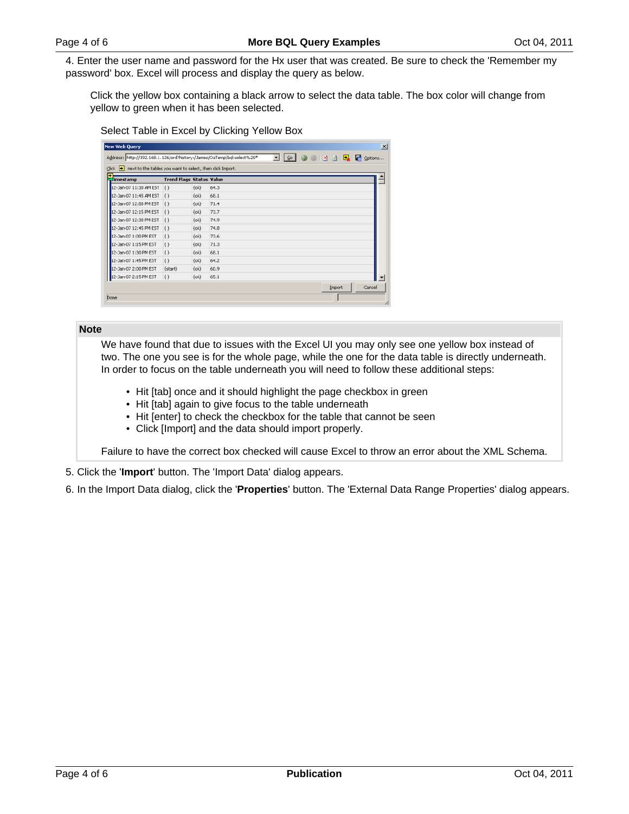4. Enter the user name and password for the Hx user that was created. Be sure to check the 'Remember my password' box. Excel will process and display the query as below.

Click the yellow box containing a black arrow to select the data table. The box color will change from yellow to green when it has been selected.

Select Table in Excel by Clicking Yellow Box

| Click . next to the tables you want to select, then click Import.<br>ь |                                 |          |      |  |  |  |  |
|------------------------------------------------------------------------|---------------------------------|----------|------|--|--|--|--|
| imestamp                                                               | <b>Trend Flags Status Value</b> |          |      |  |  |  |  |
| 12-Jan-07 11:30 AM EST                                                 | $\{ \}$                         | $\{ok\}$ | 64.3 |  |  |  |  |
| 12-Jan-07 11:45 AM EST                                                 | $\{ \}$                         | $\{ok\}$ | 68.1 |  |  |  |  |
| 12-Jan-07 12:00 PM EST                                                 | $\{ \}$                         | $\{ok\}$ | 71.4 |  |  |  |  |
| 12-Jan-07 12:15 PM EST                                                 | $\{ \}$                         | $\{ok\}$ | 73.7 |  |  |  |  |
| 12-Jan-07 12:30 PM EST                                                 | ${+}$                           | $\{ok\}$ | 74.9 |  |  |  |  |
| 12-Jan-07 12:45 PM EST                                                 | $\{\}$                          | $\{ok\}$ | 74.8 |  |  |  |  |
| 12-Jan-07 1:00 PM EST                                                  | $\{$                            | $\{ok\}$ | 73.6 |  |  |  |  |
| 12-Jan-07 1:15 PM EST                                                  | $\{\}$                          | $\{$ ok} | 71.3 |  |  |  |  |
| 12-Jan-07 1:30 PM EST                                                  | $\{\}$                          | $\{$ ok} | 68.1 |  |  |  |  |
| 12-Jan-07 1:45 PM EST                                                  | $\{\}$                          | $\{ok\}$ | 64.2 |  |  |  |  |
| 12-3an-07 2:00 PM EST                                                  | {start}                         | $\{ok\}$ | 60.9 |  |  |  |  |
| 12-Jan-07 2:15 PM EST                                                  | $\{$                            | $\{$ ok} | 65.1 |  |  |  |  |

#### **Note**

We have found that due to issues with the Excel UI you may only see one yellow box instead of two. The one you see is for the whole page, while the one for the data table is directly underneath. In order to focus on the table underneath you will need to follow these additional steps:

- Hit [tab] once and it should highlight the page checkbox in green
- Hit [tab] again to give focus to the table underneath
- Hit [enter] to check the checkbox for the table that cannot be seen
- Click [Import] and the data should import properly.

Failure to have the correct box checked will cause Excel to throw an error about the XML Schema.

- 5. Click the '**Import**' button. The 'Import Data' dialog appears.
- 6. In the Import Data dialog, click the '**Properties**' button. The 'External Data Range Properties' dialog appears.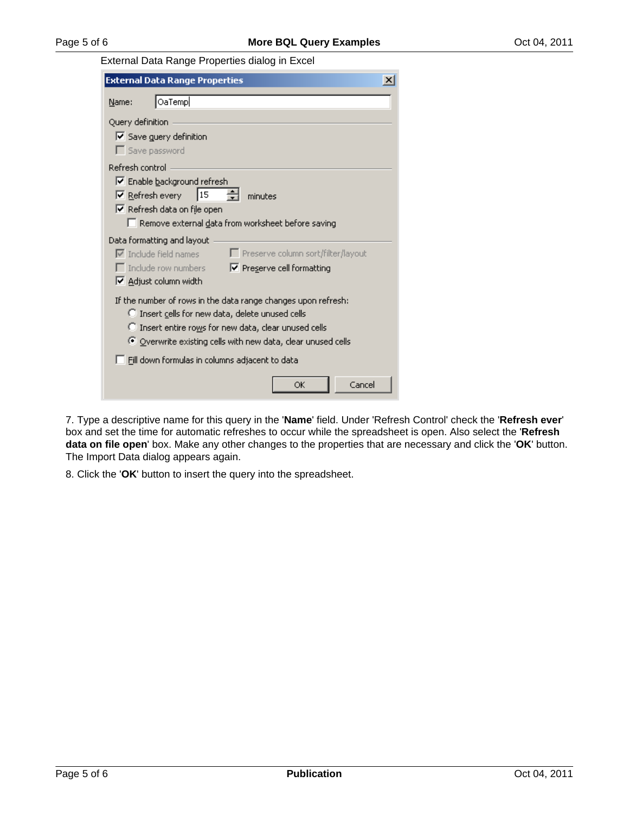External Data Range Properties dialog in Excel

| <b>External Data Range Properties</b>                                                                                                                                                                                                    |  |  |  |  |  |  |  |
|------------------------------------------------------------------------------------------------------------------------------------------------------------------------------------------------------------------------------------------|--|--|--|--|--|--|--|
| OaTemp<br>Name:                                                                                                                                                                                                                          |  |  |  |  |  |  |  |
| Query definition<br>$\triangledown$ Save guery definition<br>$\Gamma$ Save password                                                                                                                                                      |  |  |  |  |  |  |  |
| Refresh control<br><b>▽</b> Enable background refresh<br>15<br>$\nabla$ Refresh every<br>minutes                                                                                                                                         |  |  |  |  |  |  |  |
| <b>▽</b> Refresh data on file open<br>Remove external data from worksheet before saving                                                                                                                                                  |  |  |  |  |  |  |  |
| Data formatting and layout<br>□ Preserve column sort/filter/layout<br>$\nabla$ Include field names<br>$\Box$ Include row numbers<br>Ⅳ Preserve cell formatting<br>Ⅳ Adjust column width                                                  |  |  |  |  |  |  |  |
| If the number of rows in the data range changes upon refresh:<br>C Insert cells for new data, delete unused cells<br>C Insert entire rows for new data, clear unused cells<br>Overwrite existing cells with new data, clear unused cells |  |  |  |  |  |  |  |
| Fill down formulas in columns adjacent to data                                                                                                                                                                                           |  |  |  |  |  |  |  |
| Cancel<br>ОK                                                                                                                                                                                                                             |  |  |  |  |  |  |  |

7. Type a descriptive name for this query in the '**Name**' field. Under 'Refresh Control' check the '**Refresh ever**' box and set the time for automatic refreshes to occur while the spreadsheet is open. Also select the '**Refresh data on file open**' box. Make any other changes to the properties that are necessary and click the '**OK**' button. The Import Data dialog appears again.

8. Click the '**OK**' button to insert the query into the spreadsheet.